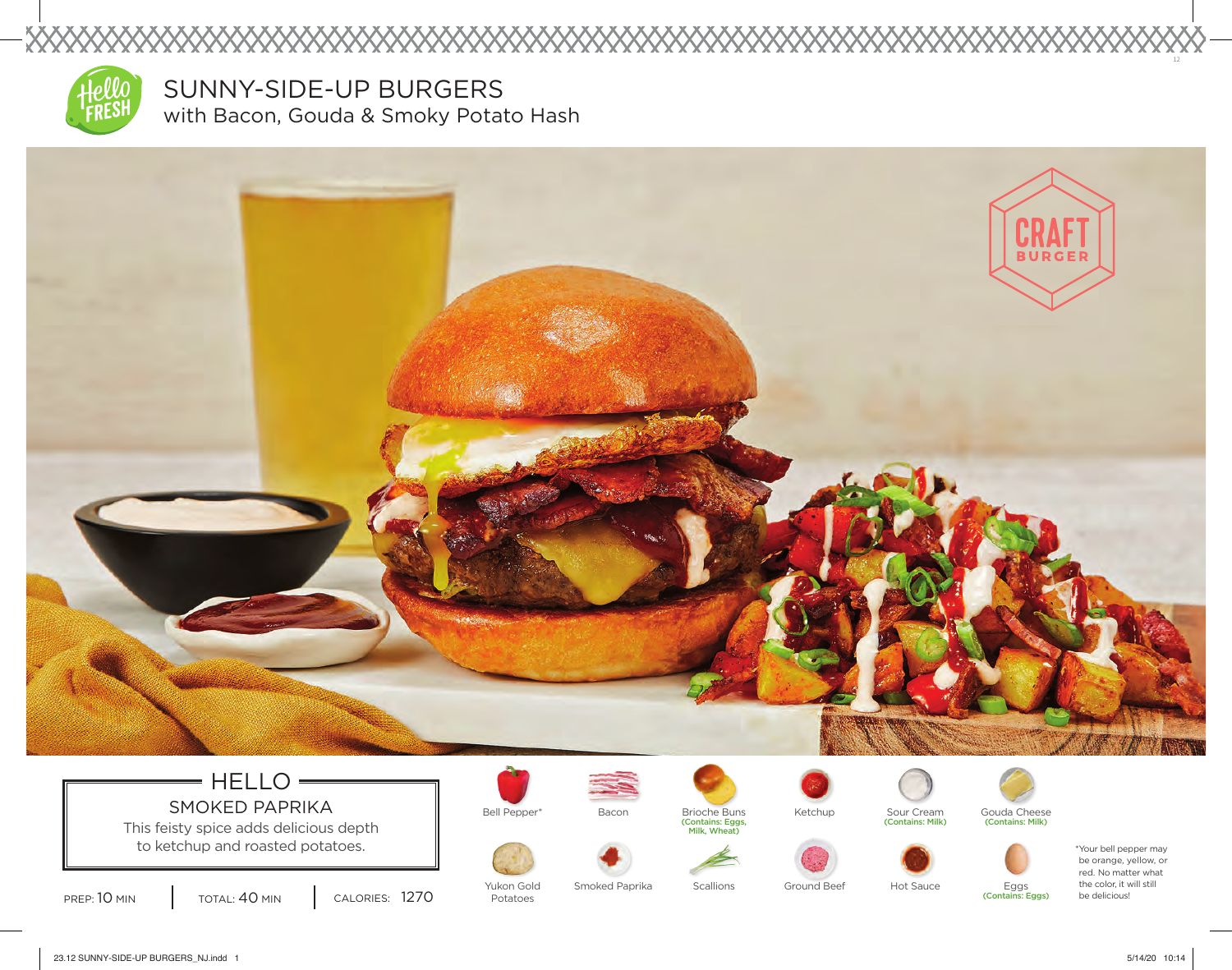

XXXXX

SUNNY-SIDE-UP BURGERS with Bacon, Gouda & Smoky Potato Hash



## $=$  HELLO  $=$ SMOKED PAPRIKA Bell Pepper\* Bacon Brioche Buns Ketchup Sour Cream Goutains: Milk)

This feisty spice adds delicious depth  $\parallel$  and Milk, Wheat) (Contains: Egg to ketchup and roasted potatoes.











(Contains: Milk) (Contains: Milk)



PREP: 10 MIN | TOTAL: 40 MIN | CALORIES: 1270

Yukon Gold Potatoes

Smoked Paprika Scallions Ground Beef Hot Sauce

Eggs<br>(Contains: Eggs)

be orange, yellow, or red. No matter what the color, it will still be delicious!

12